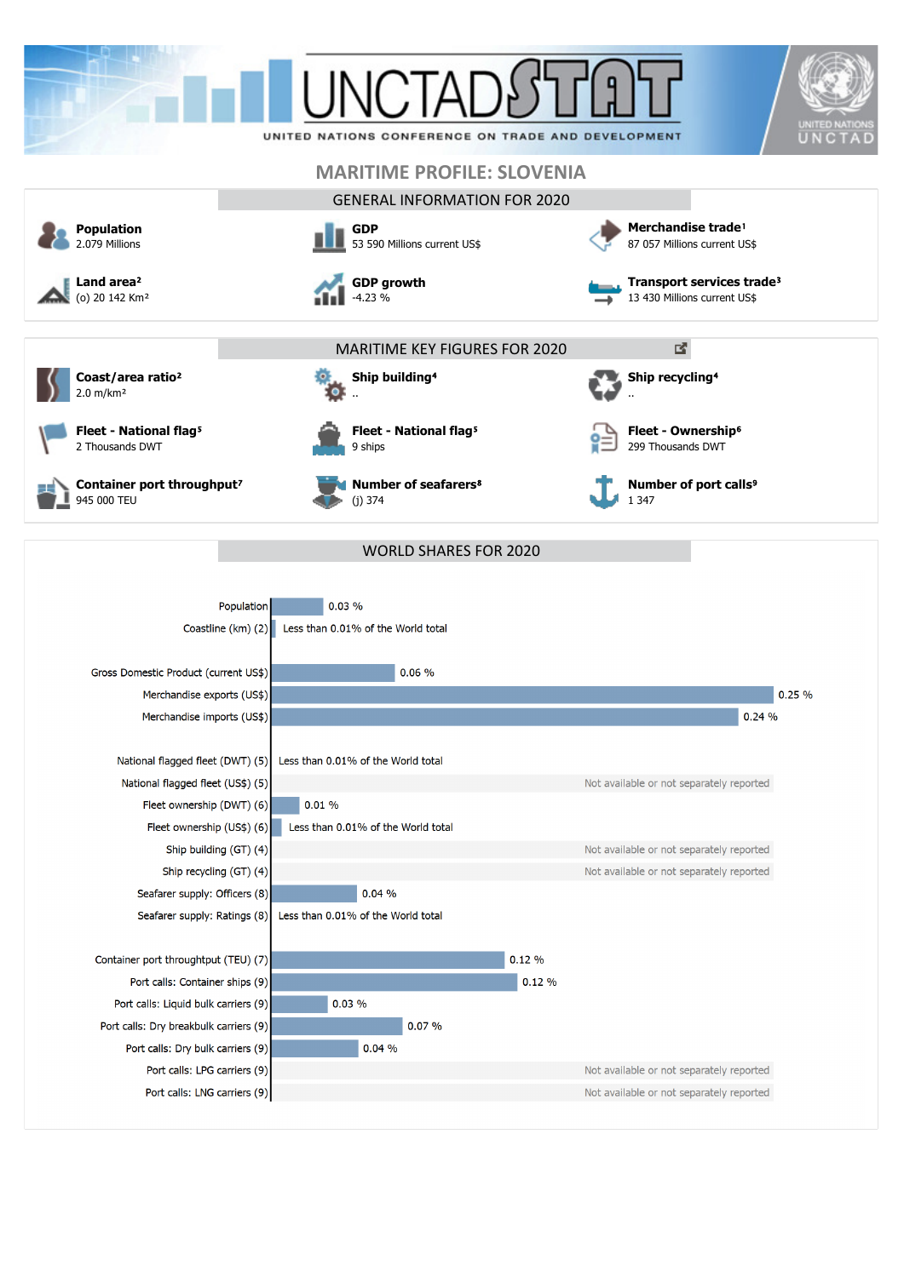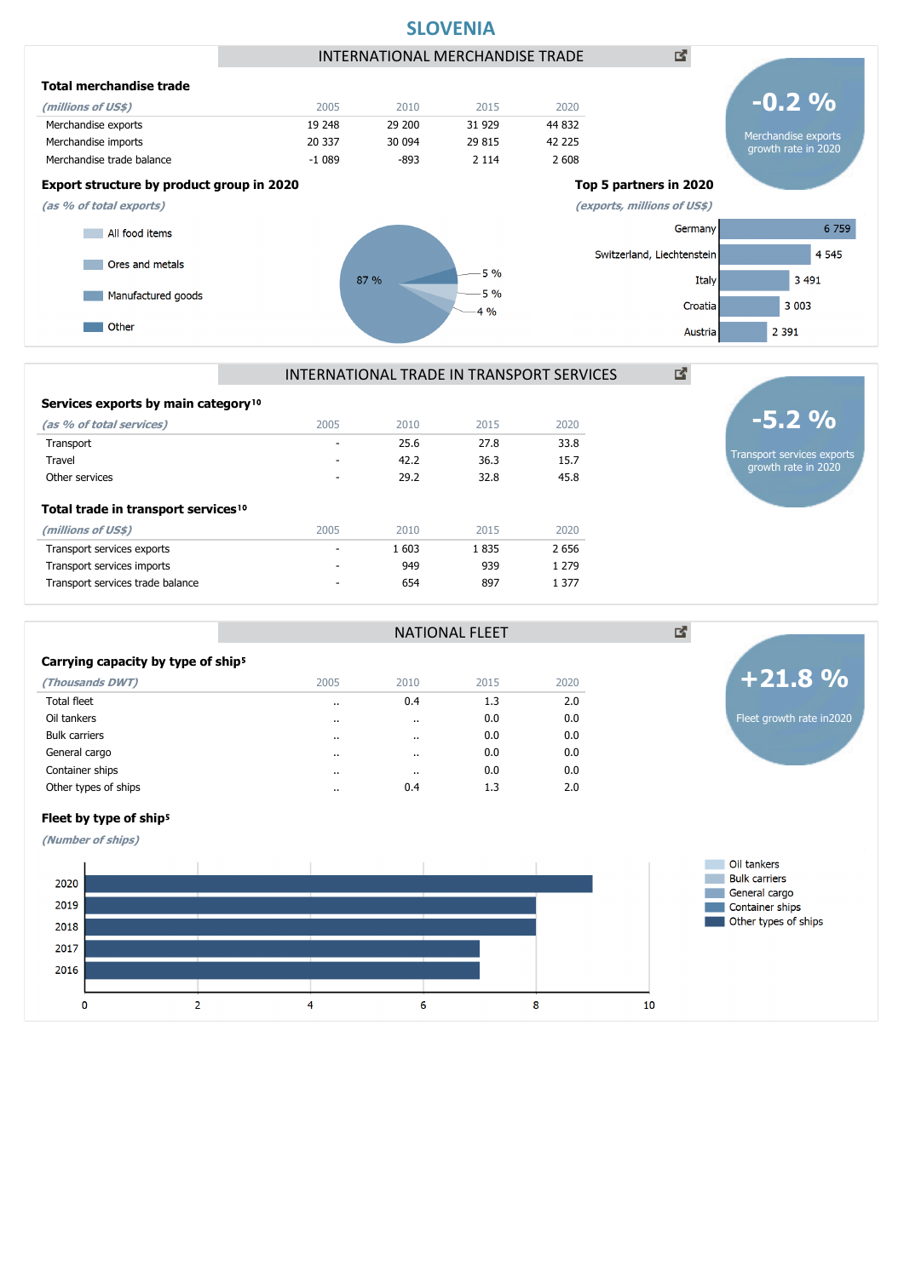

|                                                 | <u>INTENNATIONAL TIVADE IN TIVANJE ON I JENVICEJ</u> |      |      |      |  |  |  |  |
|-------------------------------------------------|------------------------------------------------------|------|------|------|--|--|--|--|
| Services exports by main category <sup>10</sup> |                                                      |      |      |      |  |  |  |  |
| (as % of total services)                        | 2005                                                 | 2010 | 2015 | 2020 |  |  |  |  |

| (as % of total services)                        | 2005 | 2010  | 2015 | 2020    |
|-------------------------------------------------|------|-------|------|---------|
| Transport                                       | ۰    | 25.6  | 27.8 | 33.8    |
| Travel                                          | -    | 42.2  | 36.3 | 15.7    |
| Other services                                  |      | 29.2  | 32.8 | 45.8    |
| Total trade in transport services <sup>10</sup> |      |       |      |         |
| (millions of US\$)                              | 2005 | 2010  | 2015 | 2020    |
| Transport services exports                      |      | 1 603 | 1835 | 2 6 5 6 |
| Transport services imports                      | -    | 949   | 939  | 1 279   |
| Transport services trade balance                |      | 654   | 897  | 1 3 7 7 |
|                                                 |      |       |      |         |

### Carrying capacity by type of ship<sup>5</sup>

| $\frac{1}{2}$        |                      |                      |      |      |
|----------------------|----------------------|----------------------|------|------|
| (Thousands DWT)      | 2005                 | 2010                 | 2015 | 2020 |
| <b>Total fleet</b>   | $\ddot{\phantom{0}}$ | 0.4                  | 1.3  | 2.0  |
| Oil tankers          | $\cdots$             | $\ddot{\phantom{a}}$ | 0.0  | 0.0  |
| <b>Bulk carriers</b> | $\cdots$             | $\ddot{\phantom{0}}$ | 0.0  | 0.0  |
| General cargo        | $\cdots$             | $\cdot$              | 0.0  | 0.0  |
| Container ships      | $\cdots$             | $\cdot$ .            | 0.0  | 0.0  |
| Other types of ships | $\cdot$              | 0.4                  | 1.3  | 2.0  |
|                      |                      |                      |      |      |



図

Transport services exports growth rate in 2020

**-5.2 %**

## Fleet by type of ship<sup>5</sup>

**(Number of ships)**



NATIONAL FLEET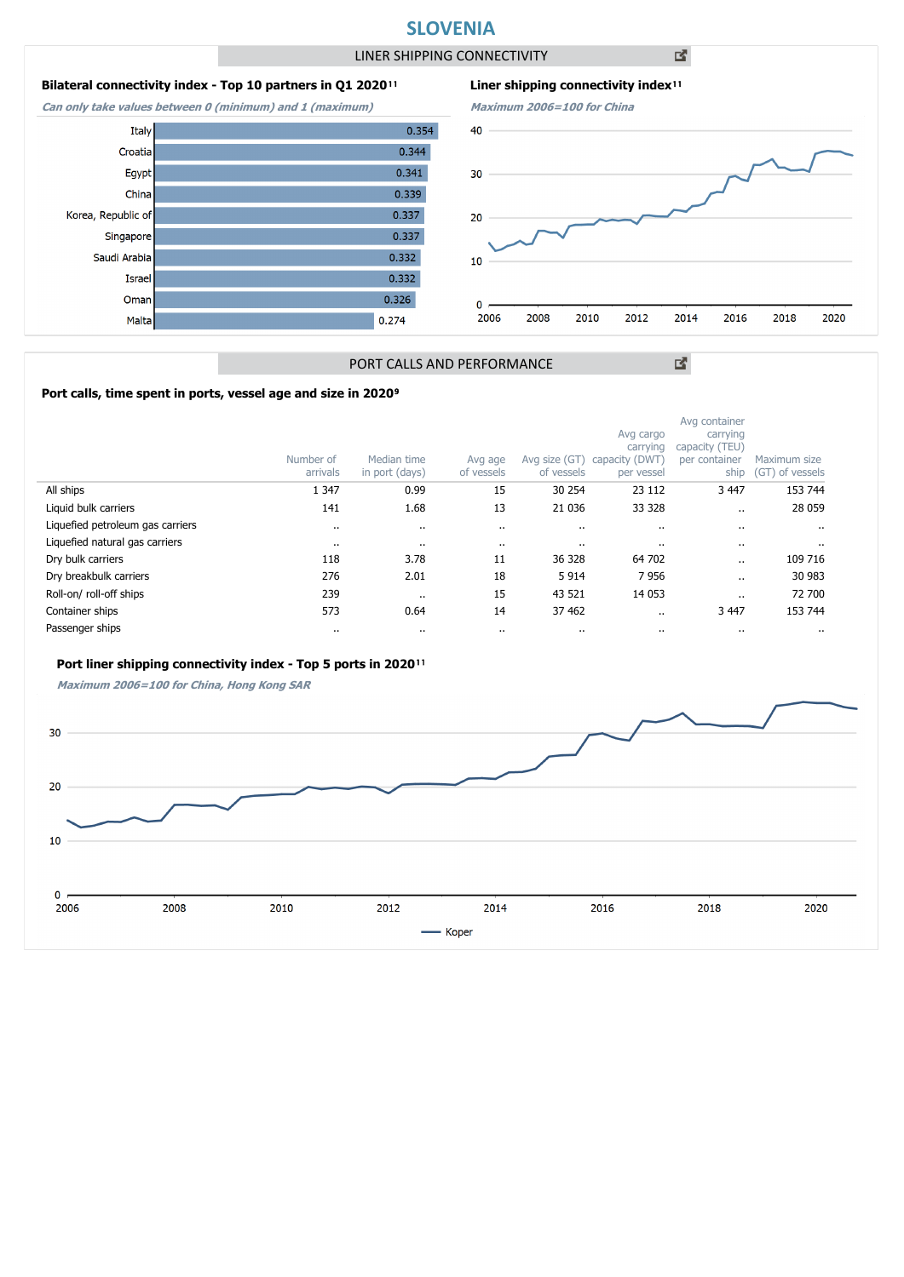## **SLOVENIA**

LINER SHIPPING CONNECTIVITY

0.354

 $0.344$ 

 $0.341$ 

 $0.339$  $0.337$ 

 $0.337$ 

 $0.332$ 

 $0.332$ 0.326

 $0.274$ 

凶



**Can only take values between 0 (minimum) and 1 (maximum)**

Italy

Croatia

Egypt

China

Israel

Oman

Malta

Singapore

Saudi Arabia

Korea, Republic of





図

## PORT CALLS AND PERFORMANCE

### Port calls, time spent in ports, vessel age and size in 2020<sup>9</sup>

|                                  | Number of<br>arrivals | Median time<br>in port (days) | Avg age<br>of vessels | Avg size (GT)<br>of vessels | Avg cargo<br>carrying<br>capacity (DWT<br>per vessel | Avg container<br>carrying<br>capacity (TEU)<br>per container<br>ship | Maximum size<br>(GT) of vessels |
|----------------------------------|-----------------------|-------------------------------|-----------------------|-----------------------------|------------------------------------------------------|----------------------------------------------------------------------|---------------------------------|
| All ships                        | 1 3 4 7               | 0.99                          | 15                    | 30 254                      | 23 112                                               | 3 4 4 7                                                              | 153 744                         |
| Liquid bulk carriers             | 141                   | 1.68                          | 13                    | 21 0 36                     | 33 3 28                                              |                                                                      | 28 059                          |
| Liquefied petroleum gas carriers | $\cdot$               | $\ddot{\phantom{0}}$          | $\cdot$ .             |                             | $\ddotsc$                                            |                                                                      | $\ddotsc$                       |
| Liquefied natural gas carriers   | $\cdots$              | $\cdots$                      | $\cdot$ .             | $\cdots$                    |                                                      |                                                                      |                                 |
| Dry bulk carriers                | 118                   | 3.78                          | 11                    | 36 328                      | 64 702                                               |                                                                      | 109 716                         |
| Dry breakbulk carriers           | 276                   | 2.01                          | 18                    | 5914                        | 7956                                                 |                                                                      | 30 983                          |
| Roll-on/roll-off ships           | 239                   | $\cdots$                      | 15                    | 43 521                      | 14 0 53                                              |                                                                      | 72 700                          |
| Container ships                  | 573                   | 0.64                          | 14                    | 37 462                      | $\cdot$ .                                            | 3 4 4 7                                                              | 153 744                         |
| Passenger ships                  | $\cdots$              | $\cdots$                      | $\cdot$ .             | $\cdots$                    |                                                      |                                                                      |                                 |

### Port liner shipping connectivity index - Top 5 ports in 2020<sup>11</sup>

**Maximum 2006=100 for China, Hong Kong SAR**